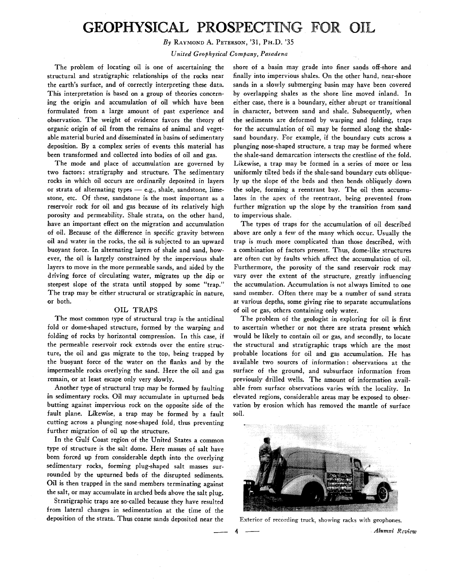# **GEOPHYSICAL PROSPECTING FOR OIL**

*By* RAYMOND **A. PETERSON,** '31, PH.D. *'35* 

*United Geophysical Company, Pasadena* 

The problem of locating oil is one of ascertaining the structural and stratigraphic relationships of the rocks near the earth's surface, and of correctly interpreting these data. This interpretation is based on a group of theories concerning the origin and accumulation of oil which have been formulated from a large amount of past experience and observation. The weight of evidence favors the theory of organic origin of oil from the remains of animal and vegetable material buried and disseminated in basins of sedimentary deposition. By a complex series of events this material has been transformed and collected into bodies of oil and gas.

The mode and place of accumulation are governed by two factors: stratigraphy and structure. The sedimentary rocks in which oil occurs are ordinarily deposited in layers two factors: stratigraphy and structure. The sedimentary<br>rocks in which oil occurs are ordinarily deposited in layers<br>or strata of alternating types — e.g., shale, sandstone, limestone, etc. Of these, sandstone is the most important as a reservoir rock for oil and gas because of its relatively high porosity and permeability. Shale strata, on the other hand, have an important effect on the migration and accumulation of oil. Because of the difference in specific gravity between oil and water in the rocks, the oil is subjected to an upward buoyant force. In alternating layers of shale and sand, however, the oil is largely constrained by the impervious shale layers to move in the more permeable sands, and aided by the driving force of circulating water, migrates up the dip or steepest slope of the strata until stopped by some "trap." The trap may be either structural or stratigraphic in nature, or both.

### OIL TRAPS

The most common type of structural trap is the anticlinal fold or dome-shaped structure, formed by the warping and folding of rocks by horizontal compression. In this case, if the permeable reservoir rock extends over the entire structure, the oil and gas migrate to the top, being trapped by the buoyant force of the water on the flanks and by the impermeable rocks overlying the sand. Here the oil and gas remain, or at least escape only very slowly.

Another type of structural trap may be formed by faulting in sedimentary rocks. Oil may accumulate in upturned beds butting against impervious rock on the opposite side of the fault plane. Likewise, a trap may be formed by a fault cutting across a plunging nose-shaped fold, thus preventing further migration of oil up the structure.

In the Gulf Coast region of the United States a common type of structure is the salt dome. Here masses of salt have been forced up from considerable depth into the overlying sedimentary rocks, forming plug-shaped salt masses surrounded by the upturned beds of the disrupted sediments. Oil is then trapped in the sand members terminating against the salt, or may accumulate in arched beds above the salt plug.

Stratigraphic traps are so-called because they have resulted from lateral changes in sedimentation at the time of the deposition of the strata. Thus coarse sands deposited near the

shore of a basin may grade into finer sands off-shore and finally into impervious shales. On the other hand, near-shore sands in a slowly submerging basin may have been covered by overlapping shales as the shore line moved inland. In either case, there is a boundary, either abrupt or transitional in character, between sand and shale. Subsequently, when the sediments are deformed by warping and folding, traps for the accumulation of oil may be formed along the shalesand boundary. For example, if the boundary cuts across a plunging nose-shaped structure, a trap may be formed where the shale-sand demarcation intersects the crestline of the fold. Likewise, a trap may be formed in a series of more or less uniformly tilted beds if the shale-sand boundary cuts obliquely up the slope of the beds and then bends obliquely down the solpe, forming a reentrant bay. The oil then accumulates in the apex of the reentrant, being prevented from further migration up the slope by the transition from sand to impervious shale.

The types of traps for the accumulation of oil described above are only a few of the many which occur. Usually the trap is much more complicated than those described, with a combination of factors present. Thus, dome-like structures are often cut by faults which affect the accumulation of oil. Furthermore, the porosity of the sand reservoir rock may vary over the extent of the structure, greatly influencing the accumulation. Accumulation is not always limited to one sand member. Often there may be a number of sand strata at various depths, some giving rise to separate accumulations of oil or gas, others containing only water.

The problem of the geologist in exploring for oil is first to ascertain whether or not there are strata present which would be likely to contain oil or gas, and secondly, to locate the structural and stratigraphic traps which are the most probable locations for oil and gas accumulation. He has available two sources of information: observations at the surface of the ground, and subsurface information from previously drilled wells. The amount of information available from surface observations varies with the locality. In elevated regions, considerable areas may be exposed to observation by erosion which has removed the mantle of surface soil.



Exterior of recording truck, showing racks with geophones.